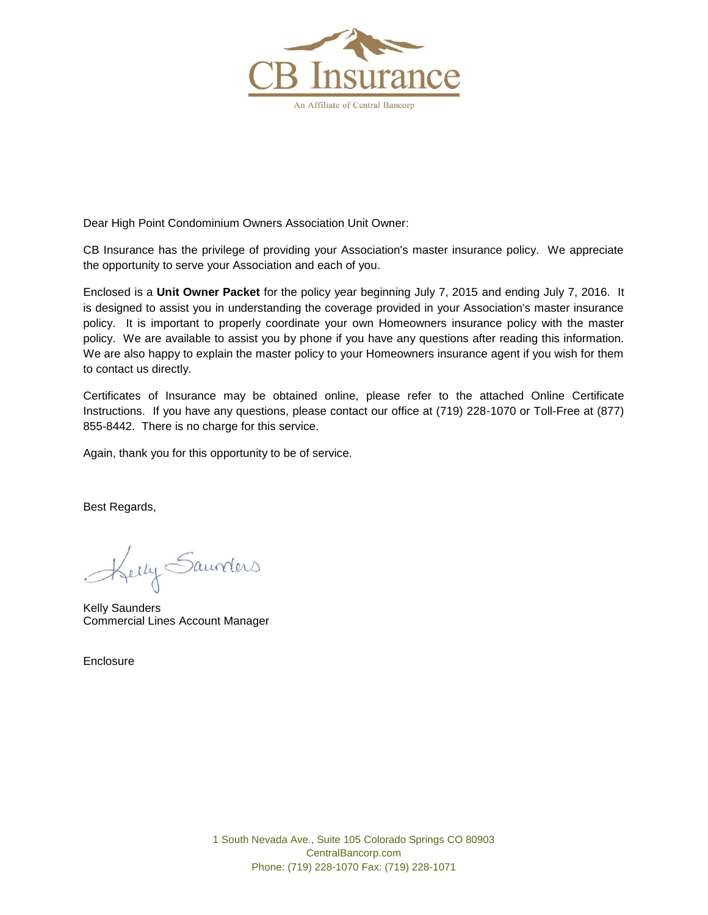

Dear High Point Condominium Owners Association Unit Owner:

CB Insurance has the privilege of providing your Association's master insurance policy. We appreciate the opportunity to serve your Association and each of you.

Enclosed is a **Unit Owner Packet** for the policy year beginning July 7, 2015 and ending July 7, 2016. It is designed to assist you in understanding the coverage provided in your Association's master insurance policy. It is important to properly coordinate your own Homeowners insurance policy with the master policy. We are available to assist you by phone if you have any questions after reading this information. We are also happy to explain the master policy to your Homeowners insurance agent if you wish for them to contact us directly.

Certificates of Insurance may be obtained online, please refer to the attached Online Certificate Instructions. If you have any questions, please contact our office at (719) 228-1070 or Toll-Free at (877) 855-8442. There is no charge for this service.

Again, thank you for this opportunity to be of service.

Best Regards,

Kelly Saunders

Kelly Saunders Commercial Lines Account Manager

**Enclosure**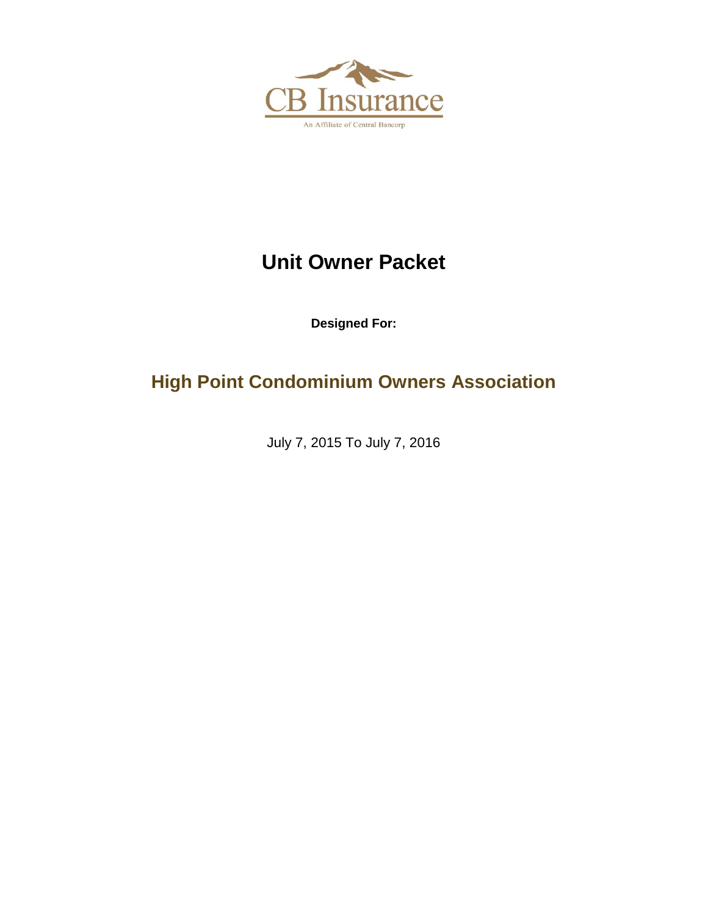

# **Unit Owner Packet**

**Designed For:**

**High Point Condominium Owners Association**

July 7, 2015 To July 7, 2016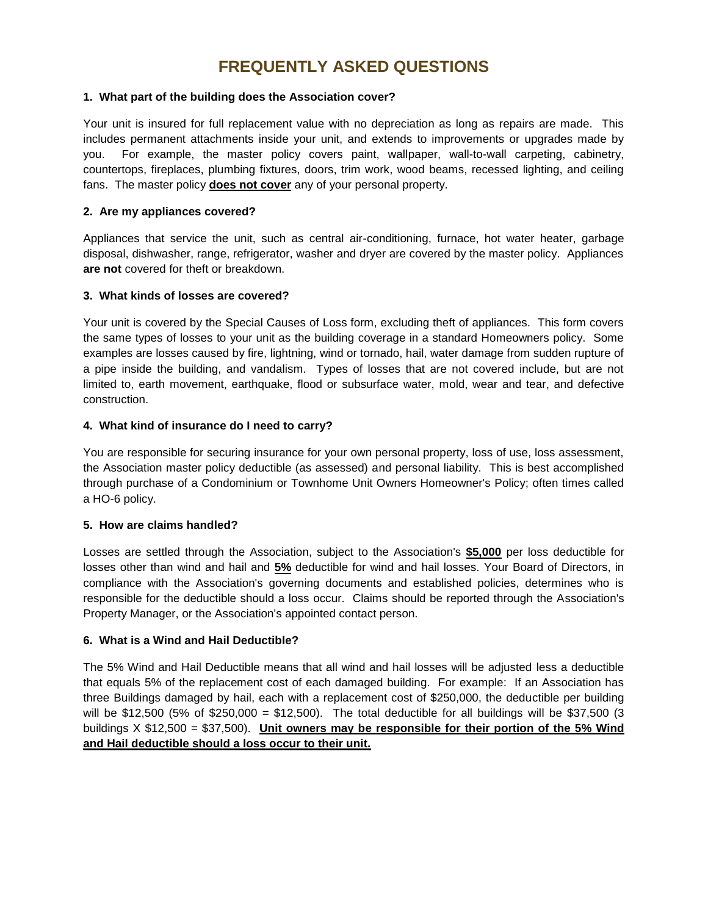### **FREQUENTLY ASKED QUESTIONS**

#### **1. What part of the building does the Association cover?**

Your unit is insured for full replacement value with no depreciation as long as repairs are made. This includes permanent attachments inside your unit, and extends to improvements or upgrades made by you. For example, the master policy covers paint, wallpaper, wall-to-wall carpeting, cabinetry, countertops, fireplaces, plumbing fixtures, doors, trim work, wood beams, recessed lighting, and ceiling fans. The master policy **does not cover** any of your personal property.

### **2. Are my appliances covered?**

Appliances that service the unit, such as central air-conditioning, furnace, hot water heater, garbage disposal, dishwasher, range, refrigerator, washer and dryer are covered by the master policy. Appliances **are not** covered for theft or breakdown.

### **3. What kinds of losses are covered?**

Your unit is covered by the Special Causes of Loss form, excluding theft of appliances. This form covers the same types of losses to your unit as the building coverage in a standard Homeowners policy. Some examples are losses caused by fire, lightning, wind or tornado, hail, water damage from sudden rupture of a pipe inside the building, and vandalism. Types of losses that are not covered include, but are not limited to, earth movement, earthquake, flood or subsurface water, mold, wear and tear, and defective construction.

### **4. What kind of insurance do I need to carry?**

You are responsible for securing insurance for your own personal property, loss of use, loss assessment, the Association master policy deductible (as assessed) and personal liability. This is best accomplished through purchase of a Condominium or Townhome Unit Owners Homeowner's Policy; often times called a HO-6 policy.

### **5. How are claims handled?**

Losses are settled through the Association, subject to the Association's **\$5,000** per loss deductible for losses other than wind and hail and **5%** deductible for wind and hail losses. Your Board of Directors, in compliance with the Association's governing documents and established policies, determines who is responsible for the deductible should a loss occur. Claims should be reported through the Association's Property Manager, or the Association's appointed contact person.

#### **6. What is a Wind and Hail Deductible?**

The 5% Wind and Hail Deductible means that all wind and hail losses will be adjusted less a deductible that equals 5% of the replacement cost of each damaged building. For example: If an Association has three Buildings damaged by hail, each with a replacement cost of \$250,000, the deductible per building will be \$12,500 (5% of \$250,000 = \$12,500). The total deductible for all buildings will be \$37,500 (3 buildings X \$12,500 = \$37,500). **Unit owners may be responsible for their portion of the 5% Wind and Hail deductible should a loss occur to their unit.**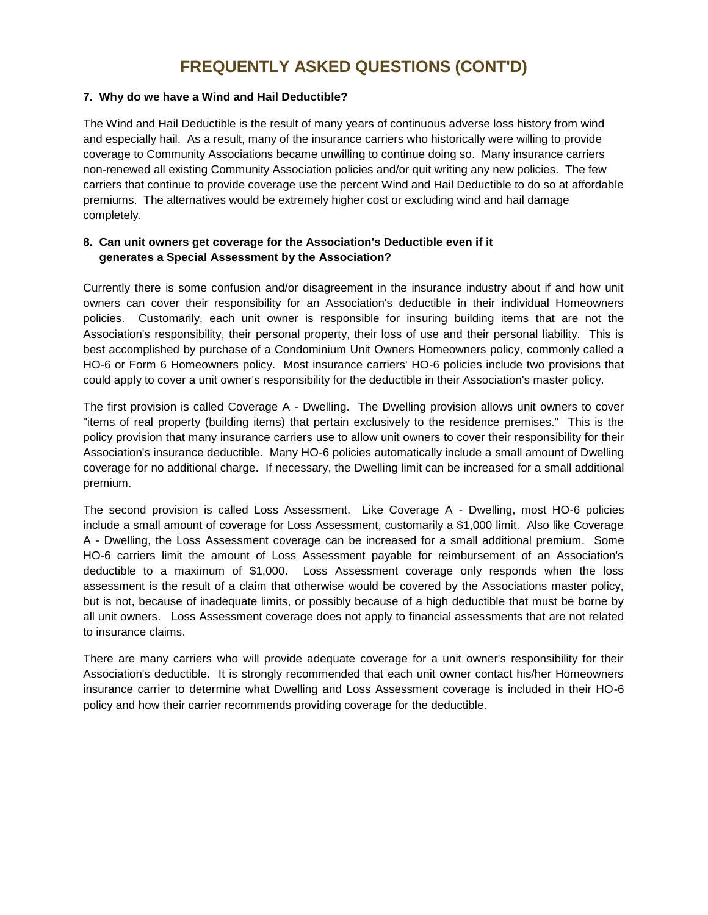### **FREQUENTLY ASKED QUESTIONS (CONT'D)**

### **7. Why do we have a Wind and Hail Deductible?**

The Wind and Hail Deductible is the result of many years of continuous adverse loss history from wind and especially hail. As a result, many of the insurance carriers who historically were willing to provide coverage to Community Associations became unwilling to continue doing so. Many insurance carriers non-renewed all existing Community Association policies and/or quit writing any new policies. The few carriers that continue to provide coverage use the percent Wind and Hail Deductible to do so at affordable premiums. The alternatives would be extremely higher cost or excluding wind and hail damage completely.

### **8. Can unit owners get coverage for the Association's Deductible even if it generates a Special Assessment by the Association?**

Currently there is some confusion and/or disagreement in the insurance industry about if and how unit owners can cover their responsibility for an Association's deductible in their individual Homeowners policies. Customarily, each unit owner is responsible for insuring building items that are not the Association's responsibility, their personal property, their loss of use and their personal liability. This is best accomplished by purchase of a Condominium Unit Owners Homeowners policy, commonly called a HO-6 or Form 6 Homeowners policy. Most insurance carriers' HO-6 policies include two provisions that could apply to cover a unit owner's responsibility for the deductible in their Association's master policy.

The first provision is called Coverage A - Dwelling. The Dwelling provision allows unit owners to cover "items of real property (building items) that pertain exclusively to the residence premises." This is the policy provision that many insurance carriers use to allow unit owners to cover their responsibility for their Association's insurance deductible. Many HO-6 policies automatically include a small amount of Dwelling coverage for no additional charge. If necessary, the Dwelling limit can be increased for a small additional premium.

The second provision is called Loss Assessment. Like Coverage A - Dwelling, most HO-6 policies include a small amount of coverage for Loss Assessment, customarily a \$1,000 limit. Also like Coverage A - Dwelling, the Loss Assessment coverage can be increased for a small additional premium. Some HO-6 carriers limit the amount of Loss Assessment payable for reimbursement of an Association's deductible to a maximum of \$1,000. Loss Assessment coverage only responds when the loss assessment is the result of a claim that otherwise would be covered by the Associations master policy, but is not, because of inadequate limits, or possibly because of a high deductible that must be borne by all unit owners. Loss Assessment coverage does not apply to financial assessments that are not related to insurance claims.

There are many carriers who will provide adequate coverage for a unit owner's responsibility for their Association's deductible. It is strongly recommended that each unit owner contact his/her Homeowners insurance carrier to determine what Dwelling and Loss Assessment coverage is included in their HO-6 policy and how their carrier recommends providing coverage for the deductible.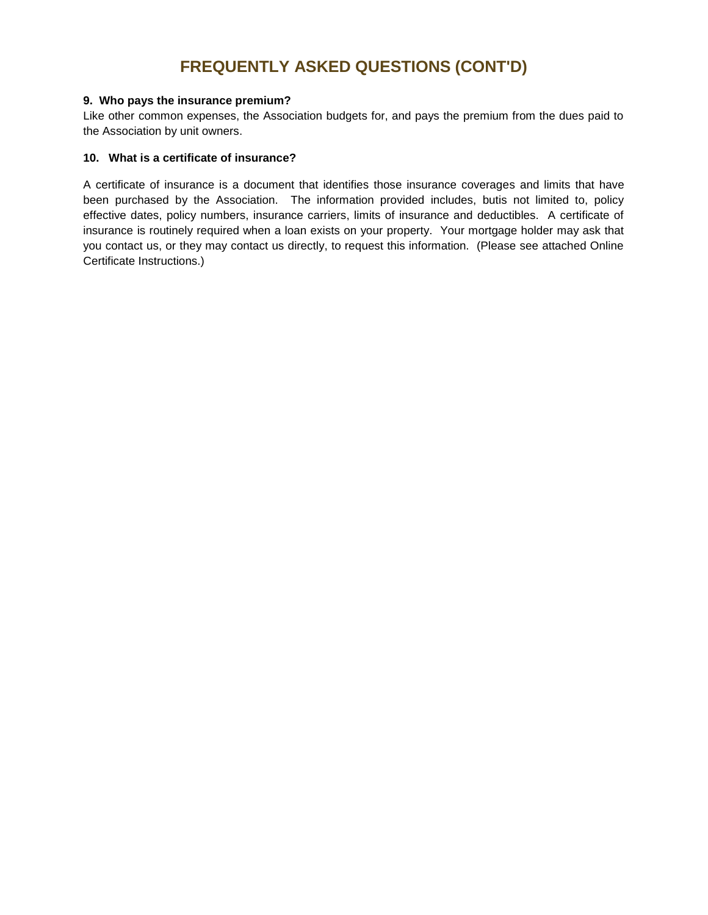### **FREQUENTLY ASKED QUESTIONS (CONT'D)**

#### **9. Who pays the insurance premium?**

Like other common expenses, the Association budgets for, and pays the premium from the dues paid to the Association by unit owners.

#### **10. What is a certificate of insurance?**

A certificate of insurance is a document that identifies those insurance coverages and limits that have been purchased by the Association. The information provided includes, butis not limited to, policy effective dates, policy numbers, insurance carriers, limits of insurance and deductibles. A certificate of insurance is routinely required when a loan exists on your property. Your mortgage holder may ask that you contact us, or they may contact us directly, to request this information. (Please see attached Online Certificate Instructions.)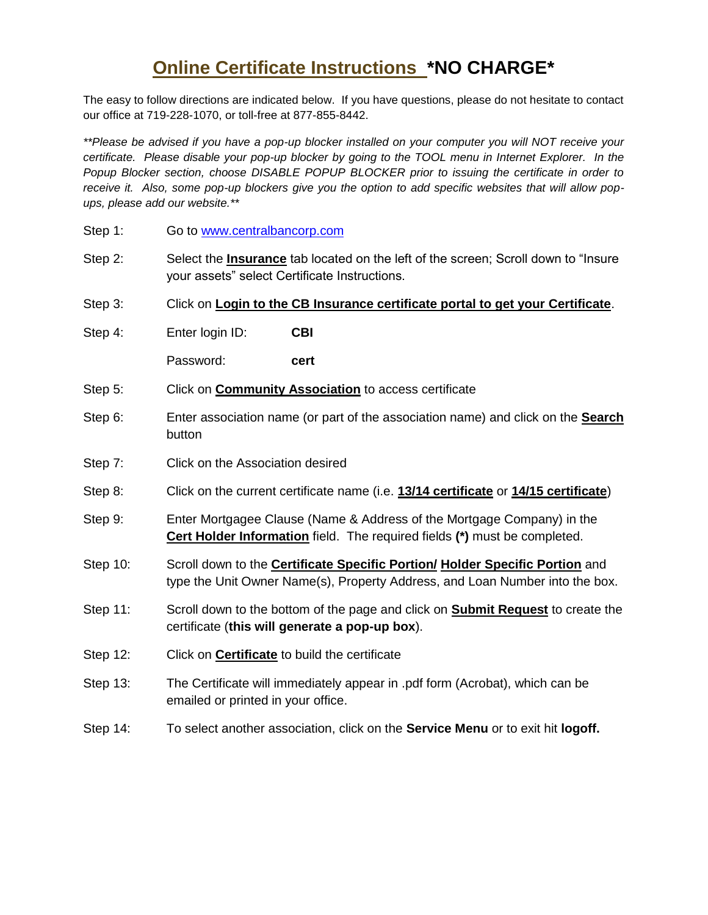## **Online Certificate Instructions \*NO CHARGE\***

The easy to follow directions are indicated below. If you have questions, please do not hesitate to contact our office at 719-228-1070, or toll-free at 877-855-8442.

*\*\*Please be advised if you have a pop-up blocker installed on your computer you will NOT receive your certificate. Please disable your pop-up blocker by going to the TOOL menu in Internet Explorer. In the Popup Blocker section, choose DISABLE POPUP BLOCKER prior to issuing the certificate in order to receive it. Also, some pop-up blockers give you the option to add specific websites that will allow popups, please add our website.\*\**

- Step 1: Go to [www.centralbancorp.com](http://www.centralbancorp.com/)
- Step 2: Select the **Insurance** tab located on the left of the screen; Scroll down to "Insure your assets" select Certificate Instructions.
- Step 3: Click on **Login to the CB Insurance certificate portal to get your Certificate**.
- Step 4: Enter login ID: **CBI**

Password: **cert**

- Step 5: Click on **Community Association** to access certificate
- Step 6: Enter association name (or part of the association name) and click on the **Search** button
- Step 7: Click on the Association desired
- Step 8: Click on the current certificate name (i.e. **13/14 certificate** or **14/15 certificate**)
- Step 9: Enter Mortgagee Clause (Name & Address of the Mortgage Company) in the **Cert Holder Information** field. The required fields **(\*)** must be completed.
- Step 10: Scroll down to the **Certificate Specific Portion/ Holder Specific Portion** and type the Unit Owner Name(s), Property Address, and Loan Number into the box.
- Step 11: Scroll down to the bottom of the page and click on **Submit Request** to create the certificate (**this will generate a pop-up box**).
- Step 12: Click on **Certificate** to build the certificate
- Step 13: The Certificate will immediately appear in .pdf form (Acrobat), which can be emailed or printed in your office.
- Step 14: To select another association, click on the **Service Menu** or to exit hit **logoff.**